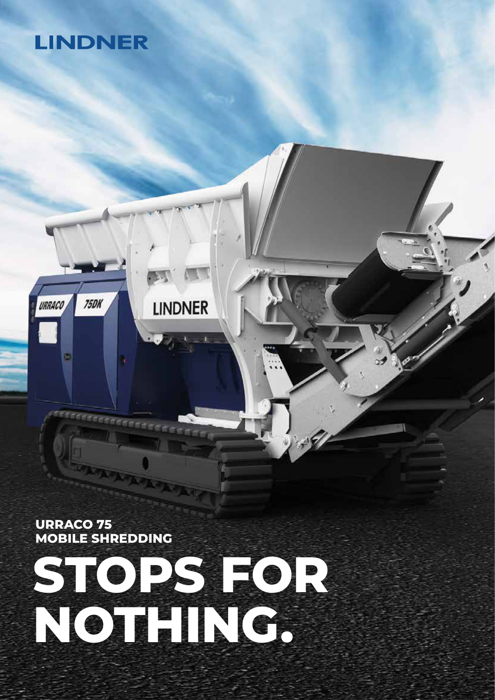# **LINDNER**

**75DK** 

URRACO

**URRACO 75 MOBILE SHREDDING**



**LINDNER**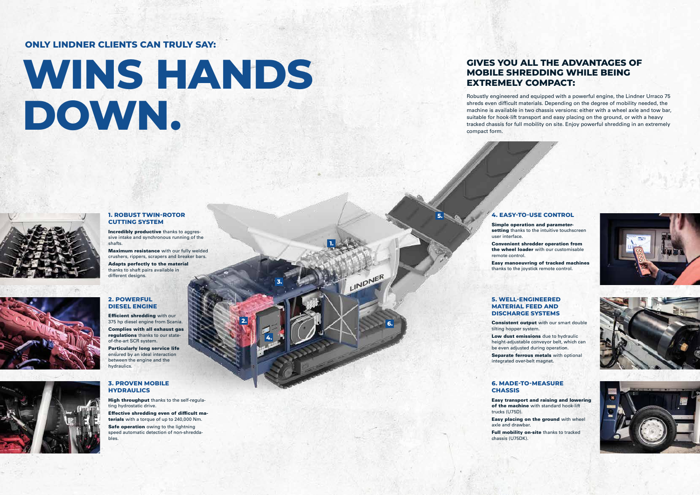**1.**

**2.**

**3.**

**4.**

**5.**

**6.**

LINDNER

#### **1. ROBUST TWIN-ROTOR CUTTING SYSTEM**

Incredibly productive thanks to aggressive intake and synchronous running of the shafts.

Adapts perfectly to the material thanks to shaft pairs available in different designs.

Maximum resistance with our fully welded crushers, rippers, scrapers and breaker bars.

**Efficient shredding with our** 375 hp diesel engine from Scania. Complies with all exhaust gas regulations thanks to our stateof-the-art SCR system.

#### **2. POWERFUL DIESEL ENGINE**

High throughput thanks to the self-regulating hydrostatic drive.

Safe operation owing to the lightning speed automatic detection of non-shreddables.

Simple operation and parametersetting thanks to the intuitive touchscreen

Particularly long service life ensured by an ideal interaction between the engine and the hydraulics.

### **3. PROVEN MOBILE HYDRAULICS**

Low dust emissions due to hydraulic height-adjustable conveyor belt, which can be even adjusted during operation.

Separate ferrous metals with optional integrated over-belt magnet.

Effective shredding even of difficult materials with a torque of up to 240,000 Nm.

#### **4. EASY-TO-USE CONTROL**

user interface.

Convenient shredder operation from the wheel loader with our customisable



Consistent output with our smart double

remote control. Easy manoeuvring of tracked machines thanks to the joystick remote control.

#### **5. WELL-ENGINEERED MATERIAL FEED AND DISCHARGE SYSTEMS**

tilting hopper system.

## **6. MADE-TO-MEASURE CHASSIS**

Easy transport and raising and lowering of the machine with standard hook-lift

trucks (U75D).

Easy placing on the ground with wheel

Full mobility on-site thanks to tracked





axle and drawbar.

chassis (U75DK).

# **WINS HANDS DOWN.**







# **GIVES YOU ALL THE ADVANTAGES OF MOBILE SHREDDING WHILE BEING EXTREMELY COMPACT:**

Robustly engineered and equipped with a powerful engine, the Lindner Urraco 75 shreds even difficult materials. Depending on the degree of mobility needed, the machine is available in two chassis versions: either with a wheel axle and tow bar, suitable for hook-lift transport and easy placing on the ground, or with a heavy tracked chassis for full mobility on site. Enjoy powerful shredding in an extremely compact form.

## **ONLY LINDNER CLIENTS CAN TRULY SAY:**